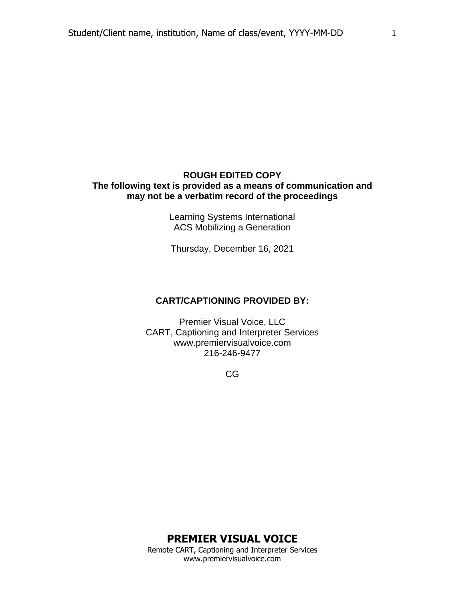#### **ROUGH EDITED COPY The following text is provided as a means of communication and may not be a verbatim record of the proceedings**

Learning Systems International ACS Mobilizing a Generation

Thursday, December 16, 2021

#### **CART/CAPTIONING PROVIDED BY:**

Premier Visual Voice, LLC CART, Captioning and Interpreter Services www.premiervisualvoice.com 216-246-9477

CG

1

**PREMIER VISUAL VOICE**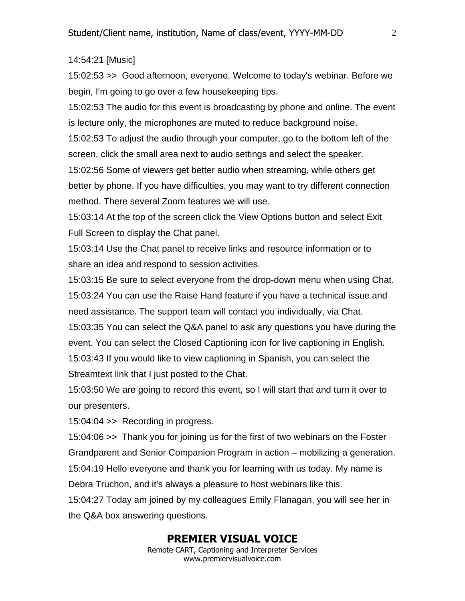#### 14:54:21 [Music]

15:02:53 >> Good afternoon, everyone. Welcome to today's webinar. Before we begin, I'm going to go over a few housekeeping tips.

15:02:53 The audio for this event is broadcasting by phone and online. The event is lecture only, the microphones are muted to reduce background noise.

15:02:53 To adjust the audio through your computer, go to the bottom left of the screen, click the small area next to audio settings and select the speaker.

15:02:56 Some of viewers get better audio when streaming, while others get better by phone. If you have difficulties, you may want to try different connection method. There several Zoom features we will use.

15:03:14 At the top of the screen click the View Options button and select Exit Full Screen to display the Chat panel.

15:03:14 Use the Chat panel to receive links and resource information or to share an idea and respond to session activities.

15:03:15 Be sure to select everyone from the drop-down menu when using Chat. 15:03:24 You can use the Raise Hand feature if you have a technical issue and need assistance. The support team will contact you individually, via Chat. 15:03:35 You can select the Q&A panel to ask any questions you have during the event. You can select the Closed Captioning icon for live captioning in English. 15:03:43 If you would like to view captioning in Spanish, you can select the Streamtext link that I just posted to the Chat.

15:03:50 We are going to record this event, so I will start that and turn it over to our presenters.

15:04:04 >> Recording in progress.

15:04:06 >> Thank you for joining us for the first of two webinars on the Foster Grandparent and Senior Companion Program in action – mobilizing a generation. 15:04:19 Hello everyone and thank you for learning with us today. My name is Debra Truchon, and it's always a pleasure to host webinars like this.

15:04:27 Today am joined by my colleagues Emily Flanagan, you will see her in the Q&A box answering questions.

#### **PREMIER VISUAL VOICE**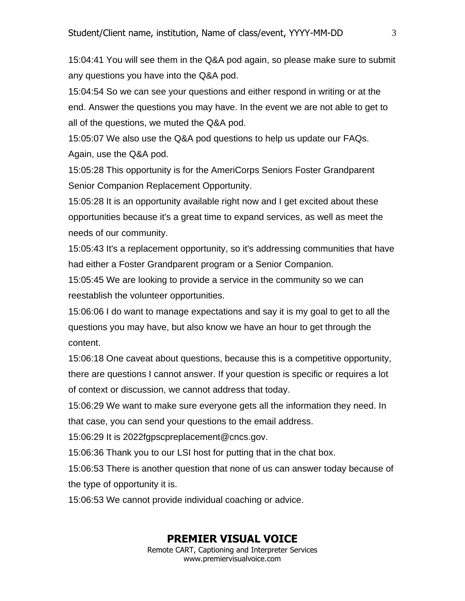15:04:41 You will see them in the Q&A pod again, so please make sure to submit any questions you have into the Q&A pod.

15:04:54 So we can see your questions and either respond in writing or at the end. Answer the questions you may have. In the event we are not able to get to all of the questions, we muted the Q&A pod.

15:05:07 We also use the Q&A pod questions to help us update our FAQs. Again, use the Q&A pod.

15:05:28 This opportunity is for the AmeriCorps Seniors Foster Grandparent Senior Companion Replacement Opportunity.

15:05:28 It is an opportunity available right now and I get excited about these opportunities because it's a great time to expand services, as well as meet the needs of our community.

15:05:43 It's a replacement opportunity, so it's addressing communities that have had either a Foster Grandparent program or a Senior Companion.

15:05:45 We are looking to provide a service in the community so we can reestablish the volunteer opportunities.

15:06:06 I do want to manage expectations and say it is my goal to get to all the questions you may have, but also know we have an hour to get through the content.

15:06:18 One caveat about questions, because this is a competitive opportunity, there are questions I cannot answer. If your question is specific or requires a lot of context or discussion, we cannot address that today.

15:06:29 We want to make sure everyone gets all the information they need. In that case, you can send your questions to the email address.

15:06:29 It is 2022fgpscpreplacement@cncs.gov.

15:06:36 Thank you to our LSI host for putting that in the chat box.

15:06:53 There is another question that none of us can answer today because of the type of opportunity it is.

15:06:53 We cannot provide individual coaching or advice.

#### **PREMIER VISUAL VOICE**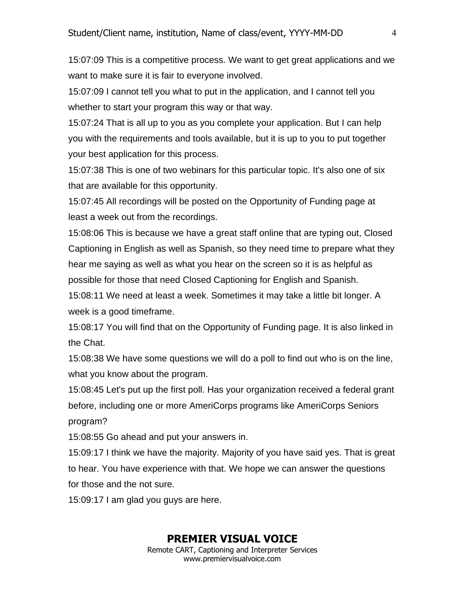15:07:09 This is a competitive process. We want to get great applications and we want to make sure it is fair to everyone involved.

15:07:09 I cannot tell you what to put in the application, and I cannot tell you whether to start your program this way or that way.

15:07:24 That is all up to you as you complete your application. But I can help you with the requirements and tools available, but it is up to you to put together your best application for this process.

15:07:38 This is one of two webinars for this particular topic. It's also one of six that are available for this opportunity.

15:07:45 All recordings will be posted on the Opportunity of Funding page at least a week out from the recordings.

15:08:06 This is because we have a great staff online that are typing out, Closed Captioning in English as well as Spanish, so they need time to prepare what they hear me saying as well as what you hear on the screen so it is as helpful as possible for those that need Closed Captioning for English and Spanish.

15:08:11 We need at least a week. Sometimes it may take a little bit longer. A week is a good timeframe.

15:08:17 You will find that on the Opportunity of Funding page. It is also linked in the Chat.

15:08:38 We have some questions we will do a poll to find out who is on the line, what you know about the program.

15:08:45 Let's put up the first poll. Has your organization received a federal grant before, including one or more AmeriCorps programs like AmeriCorps Seniors program?

15:08:55 Go ahead and put your answers in.

15:09:17 I think we have the majority. Majority of you have said yes. That is great to hear. You have experience with that. We hope we can answer the questions for those and the not sure.

15:09:17 I am glad you guys are here.

### **PREMIER VISUAL VOICE**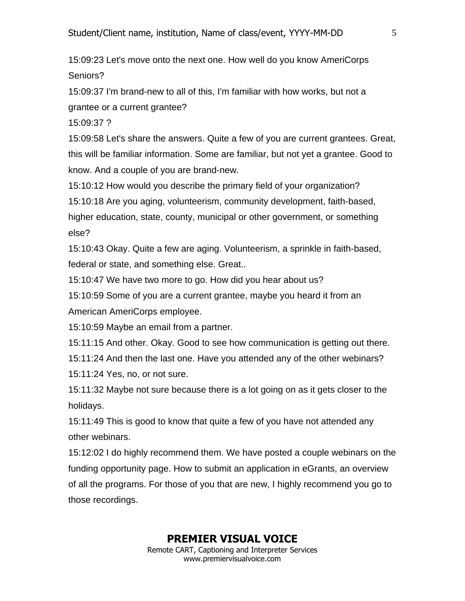15:09:23 Let's move onto the next one. How well do you know AmeriCorps Seniors?

15:09:37 I'm brand-new to all of this, I'm familiar with how works, but not a grantee or a current grantee?

15:09:37 ?

15:09:58 Let's share the answers. Quite a few of you are current grantees. Great, this will be familiar information. Some are familiar, but not yet a grantee. Good to know. And a couple of you are brand-new.

15:10:12 How would you describe the primary field of your organization?

15:10:18 Are you aging, volunteerism, community development, faith-based,

higher education, state, county, municipal or other government, or something else?

15:10:43 Okay. Quite a few are aging. Volunteerism, a sprinkle in faith-based, federal or state, and something else. Great..

15:10:47 We have two more to go. How did you hear about us?

15:10:59 Some of you are a current grantee, maybe you heard it from an American AmeriCorps employee.

15:10:59 Maybe an email from a partner.

15:11:15 And other. Okay. Good to see how communication is getting out there.

15:11:24 And then the last one. Have you attended any of the other webinars?

15:11:24 Yes, no, or not sure.

15:11:32 Maybe not sure because there is a lot going on as it gets closer to the holidays.

15:11:49 This is good to know that quite a few of you have not attended any other webinars.

15:12:02 I do highly recommend them. We have posted a couple webinars on the funding opportunity page. How to submit an application in eGrants, an overview of all the programs. For those of you that are new, I highly recommend you go to those recordings.

**PREMIER VISUAL VOICE**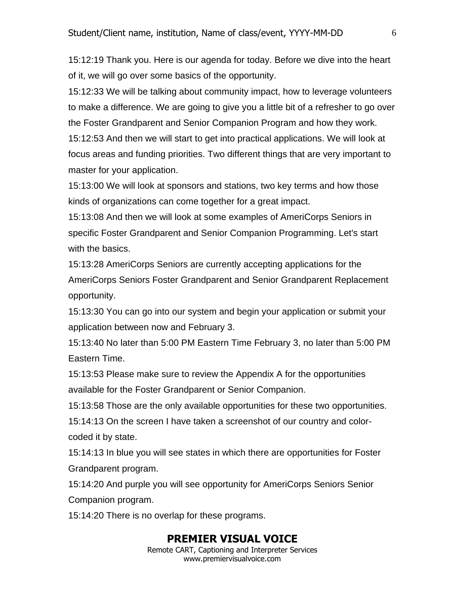15:12:19 Thank you. Here is our agenda for today. Before we dive into the heart of it, we will go over some basics of the opportunity.

15:12:33 We will be talking about community impact, how to leverage volunteers to make a difference. We are going to give you a little bit of a refresher to go over the Foster Grandparent and Senior Companion Program and how they work. 15:12:53 And then we will start to get into practical applications. We will look at

focus areas and funding priorities. Two different things that are very important to master for your application.

15:13:00 We will look at sponsors and stations, two key terms and how those kinds of organizations can come together for a great impact.

15:13:08 And then we will look at some examples of AmeriCorps Seniors in specific Foster Grandparent and Senior Companion Programming. Let's start with the basics.

15:13:28 AmeriCorps Seniors are currently accepting applications for the AmeriCorps Seniors Foster Grandparent and Senior Grandparent Replacement opportunity.

15:13:30 You can go into our system and begin your application or submit your application between now and February 3.

15:13:40 No later than 5:00 PM Eastern Time February 3, no later than 5:00 PM Eastern Time.

15:13:53 Please make sure to review the Appendix A for the opportunities available for the Foster Grandparent or Senior Companion.

15:13:58 Those are the only available opportunities for these two opportunities.

15:14:13 On the screen I have taken a screenshot of our country and colorcoded it by state.

15:14:13 In blue you will see states in which there are opportunities for Foster Grandparent program.

15:14:20 And purple you will see opportunity for AmeriCorps Seniors Senior Companion program.

15:14:20 There is no overlap for these programs.

#### **PREMIER VISUAL VOICE**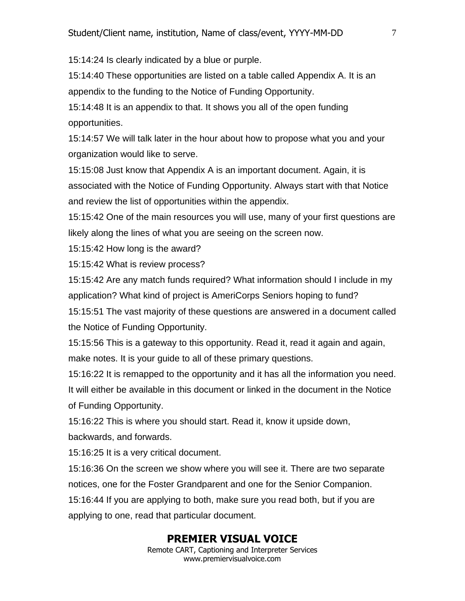15:14:24 Is clearly indicated by a blue or purple.

15:14:40 These opportunities are listed on a table called Appendix A. It is an appendix to the funding to the Notice of Funding Opportunity.

15:14:48 It is an appendix to that. It shows you all of the open funding opportunities.

15:14:57 We will talk later in the hour about how to propose what you and your organization would like to serve.

15:15:08 Just know that Appendix A is an important document. Again, it is associated with the Notice of Funding Opportunity. Always start with that Notice and review the list of opportunities within the appendix.

15:15:42 One of the main resources you will use, many of your first questions are likely along the lines of what you are seeing on the screen now.

15:15:42 How long is the award?

15:15:42 What is review process?

15:15:42 Are any match funds required? What information should I include in my application? What kind of project is AmeriCorps Seniors hoping to fund?

15:15:51 The vast majority of these questions are answered in a document called the Notice of Funding Opportunity.

15:15:56 This is a gateway to this opportunity. Read it, read it again and again, make notes. It is your guide to all of these primary questions.

15:16:22 It is remapped to the opportunity and it has all the information you need. It will either be available in this document or linked in the document in the Notice of Funding Opportunity.

15:16:22 This is where you should start. Read it, know it upside down, backwards, and forwards.

15:16:25 It is a very critical document.

15:16:36 On the screen we show where you will see it. There are two separate notices, one for the Foster Grandparent and one for the Senior Companion.

15:16:44 If you are applying to both, make sure you read both, but if you are applying to one, read that particular document.

#### **PREMIER VISUAL VOICE**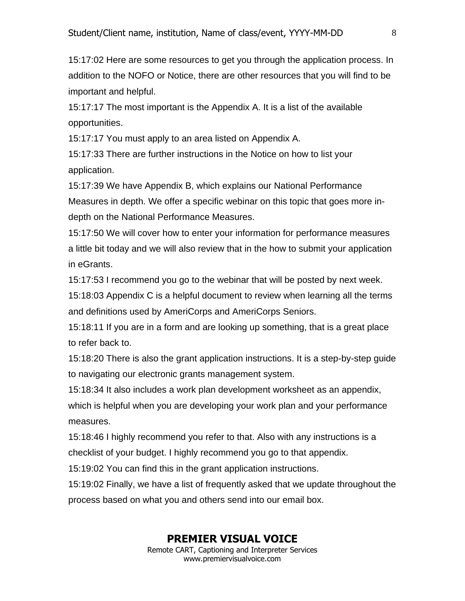15:17:02 Here are some resources to get you through the application process. In addition to the NOFO or Notice, there are other resources that you will find to be important and helpful.

15:17:17 The most important is the Appendix A. It is a list of the available opportunities.

15:17:17 You must apply to an area listed on Appendix A.

15:17:33 There are further instructions in the Notice on how to list your application.

15:17:39 We have Appendix B, which explains our National Performance Measures in depth. We offer a specific webinar on this topic that goes more indepth on the National Performance Measures.

15:17:50 We will cover how to enter your information for performance measures a little bit today and we will also review that in the how to submit your application in eGrants.

15:17:53 I recommend you go to the webinar that will be posted by next week.

15:18:03 Appendix C is a helpful document to review when learning all the terms and definitions used by AmeriCorps and AmeriCorps Seniors.

15:18:11 If you are in a form and are looking up something, that is a great place to refer back to.

15:18:20 There is also the grant application instructions. It is a step-by-step guide to navigating our electronic grants management system.

15:18:34 It also includes a work plan development worksheet as an appendix, which is helpful when you are developing your work plan and your performance measures.

15:18:46 I highly recommend you refer to that. Also with any instructions is a checklist of your budget. I highly recommend you go to that appendix.

15:19:02 You can find this in the grant application instructions.

15:19:02 Finally, we have a list of frequently asked that we update throughout the process based on what you and others send into our email box.

#### **PREMIER VISUAL VOICE**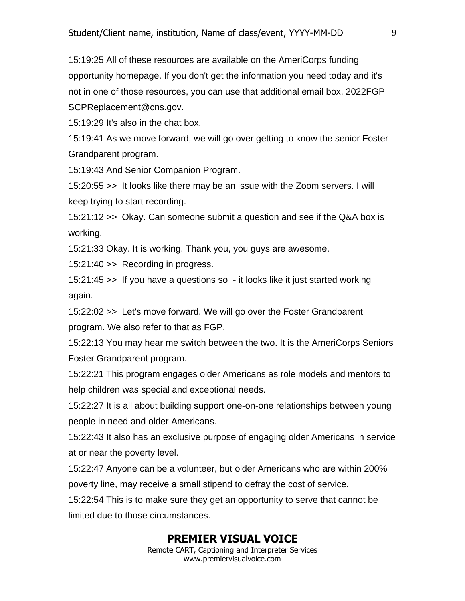15:19:25 All of these resources are available on the AmeriCorps funding opportunity homepage. If you don't get the information you need today and it's not in one of those resources, you can use that additional email box, 2022FGP SCPReplacement@cns.gov.

15:19:29 It's also in the chat box.

15:19:41 As we move forward, we will go over getting to know the senior Foster Grandparent program.

15:19:43 And Senior Companion Program.

15:20:55 >> It looks like there may be an issue with the Zoom servers. I will keep trying to start recording.

15:21:12 >> Okay. Can someone submit a question and see if the Q&A box is working.

15:21:33 Okay. It is working. Thank you, you guys are awesome.

15:21:40 >> Recording in progress.

15:21:45 >> If you have a questions so - it looks like it just started working again.

15:22:02 >> Let's move forward. We will go over the Foster Grandparent program. We also refer to that as FGP.

15:22:13 You may hear me switch between the two. It is the AmeriCorps Seniors Foster Grandparent program.

15:22:21 This program engages older Americans as role models and mentors to help children was special and exceptional needs.

15:22:27 It is all about building support one-on-one relationships between young people in need and older Americans.

15:22:43 It also has an exclusive purpose of engaging older Americans in service at or near the poverty level.

15:22:47 Anyone can be a volunteer, but older Americans who are within 200% poverty line, may receive a small stipend to defray the cost of service.

15:22:54 This is to make sure they get an opportunity to serve that cannot be limited due to those circumstances.

#### **PREMIER VISUAL VOICE**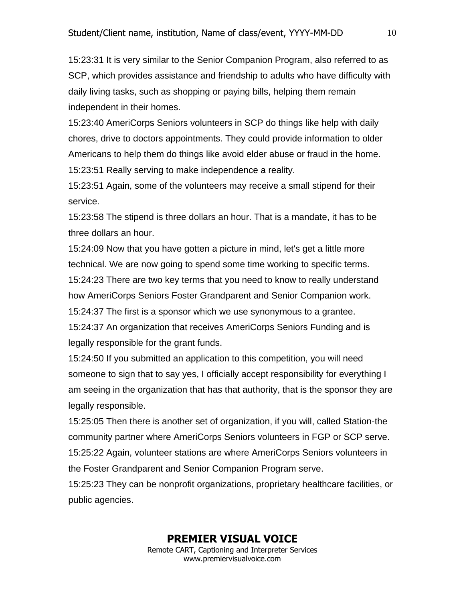15:23:31 It is very similar to the Senior Companion Program, also referred to as SCP, which provides assistance and friendship to adults who have difficulty with daily living tasks, such as shopping or paying bills, helping them remain independent in their homes.

15:23:40 AmeriCorps Seniors volunteers in SCP do things like help with daily chores, drive to doctors appointments. They could provide information to older Americans to help them do things like avoid elder abuse or fraud in the home. 15:23:51 Really serving to make independence a reality.

15:23:51 Again, some of the volunteers may receive a small stipend for their service.

15:23:58 The stipend is three dollars an hour. That is a mandate, it has to be three dollars an hour.

15:24:09 Now that you have gotten a picture in mind, let's get a little more technical. We are now going to spend some time working to specific terms. 15:24:23 There are two key terms that you need to know to really understand

how AmeriCorps Seniors Foster Grandparent and Senior Companion work.

15:24:37 The first is a sponsor which we use synonymous to a grantee.

15:24:37 An organization that receives AmeriCorps Seniors Funding and is legally responsible for the grant funds.

15:24:50 If you submitted an application to this competition, you will need someone to sign that to say yes, I officially accept responsibility for everything I am seeing in the organization that has that authority, that is the sponsor they are legally responsible.

15:25:05 Then there is another set of organization, if you will, called Station-the community partner where AmeriCorps Seniors volunteers in FGP or SCP serve. 15:25:22 Again, volunteer stations are where AmeriCorps Seniors volunteers in the Foster Grandparent and Senior Companion Program serve.

15:25:23 They can be nonprofit organizations, proprietary healthcare facilities, or public agencies.

10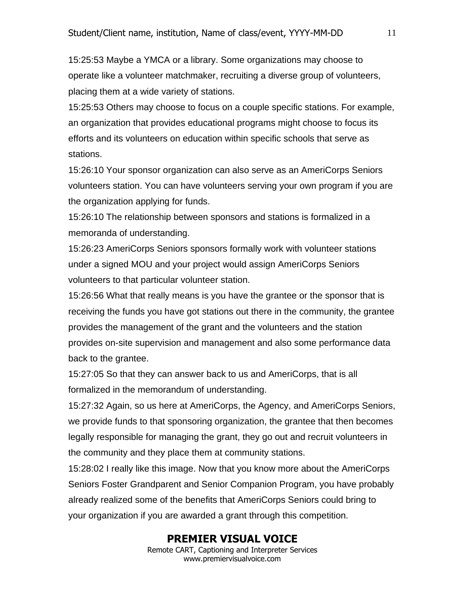15:25:53 Maybe a YMCA or a library. Some organizations may choose to operate like a volunteer matchmaker, recruiting a diverse group of volunteers, placing them at a wide variety of stations.

15:25:53 Others may choose to focus on a couple specific stations. For example, an organization that provides educational programs might choose to focus its efforts and its volunteers on education within specific schools that serve as stations.

15:26:10 Your sponsor organization can also serve as an AmeriCorps Seniors volunteers station. You can have volunteers serving your own program if you are the organization applying for funds.

15:26:10 The relationship between sponsors and stations is formalized in a memoranda of understanding.

15:26:23 AmeriCorps Seniors sponsors formally work with volunteer stations under a signed MOU and your project would assign AmeriCorps Seniors volunteers to that particular volunteer station.

15:26:56 What that really means is you have the grantee or the sponsor that is receiving the funds you have got stations out there in the community, the grantee provides the management of the grant and the volunteers and the station provides on-site supervision and management and also some performance data back to the grantee.

15:27:05 So that they can answer back to us and AmeriCorps, that is all formalized in the memorandum of understanding.

15:27:32 Again, so us here at AmeriCorps, the Agency, and AmeriCorps Seniors, we provide funds to that sponsoring organization, the grantee that then becomes legally responsible for managing the grant, they go out and recruit volunteers in the community and they place them at community stations.

15:28:02 I really like this image. Now that you know more about the AmeriCorps Seniors Foster Grandparent and Senior Companion Program, you have probably already realized some of the benefits that AmeriCorps Seniors could bring to your organization if you are awarded a grant through this competition.

#### **PREMIER VISUAL VOICE**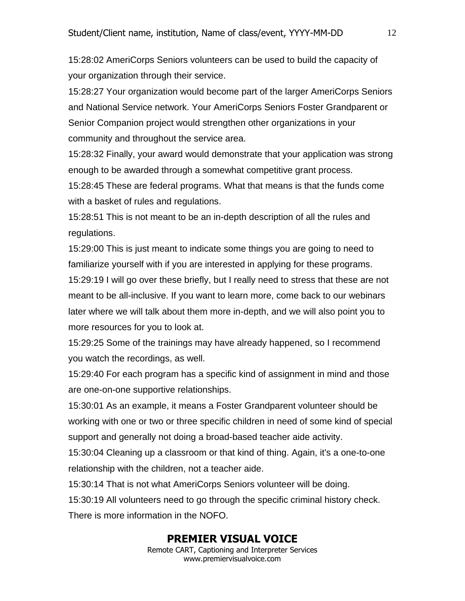15:28:02 AmeriCorps Seniors volunteers can be used to build the capacity of your organization through their service.

15:28:27 Your organization would become part of the larger AmeriCorps Seniors and National Service network. Your AmeriCorps Seniors Foster Grandparent or Senior Companion project would strengthen other organizations in your community and throughout the service area.

15:28:32 Finally, your award would demonstrate that your application was strong enough to be awarded through a somewhat competitive grant process.

15:28:45 These are federal programs. What that means is that the funds come with a basket of rules and regulations.

15:28:51 This is not meant to be an in-depth description of all the rules and regulations.

15:29:00 This is just meant to indicate some things you are going to need to familiarize yourself with if you are interested in applying for these programs. 15:29:19 I will go over these briefly, but I really need to stress that these are not meant to be all-inclusive. If you want to learn more, come back to our webinars later where we will talk about them more in-depth, and we will also point you to more resources for you to look at.

15:29:25 Some of the trainings may have already happened, so I recommend you watch the recordings, as well.

15:29:40 For each program has a specific kind of assignment in mind and those are one-on-one supportive relationships.

15:30:01 As an example, it means a Foster Grandparent volunteer should be working with one or two or three specific children in need of some kind of special support and generally not doing a broad-based teacher aide activity.

15:30:04 Cleaning up a classroom or that kind of thing. Again, it's a one-to-one relationship with the children, not a teacher aide.

15:30:14 That is not what AmeriCorps Seniors volunteer will be doing.

15:30:19 All volunteers need to go through the specific criminal history check. There is more information in the NOFO.

#### **PREMIER VISUAL VOICE**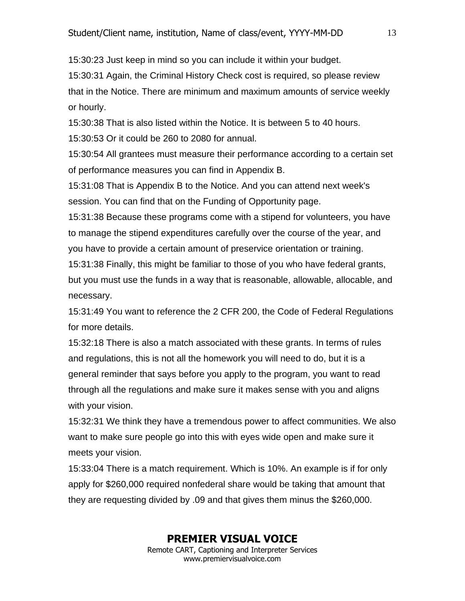15:30:23 Just keep in mind so you can include it within your budget.

15:30:31 Again, the Criminal History Check cost is required, so please review that in the Notice. There are minimum and maximum amounts of service weekly or hourly.

15:30:38 That is also listed within the Notice. It is between 5 to 40 hours. 15:30:53 Or it could be 260 to 2080 for annual.

15:30:54 All grantees must measure their performance according to a certain set of performance measures you can find in Appendix B.

15:31:08 That is Appendix B to the Notice. And you can attend next week's session. You can find that on the Funding of Opportunity page.

15:31:38 Because these programs come with a stipend for volunteers, you have to manage the stipend expenditures carefully over the course of the year, and you have to provide a certain amount of preservice orientation or training.

15:31:38 Finally, this might be familiar to those of you who have federal grants, but you must use the funds in a way that is reasonable, allowable, allocable, and necessary.

15:31:49 You want to reference the 2 CFR 200, the Code of Federal Regulations for more details.

15:32:18 There is also a match associated with these grants. In terms of rules and regulations, this is not all the homework you will need to do, but it is a general reminder that says before you apply to the program, you want to read through all the regulations and make sure it makes sense with you and aligns with your vision.

15:32:31 We think they have a tremendous power to affect communities. We also want to make sure people go into this with eyes wide open and make sure it meets your vision.

15:33:04 There is a match requirement. Which is 10%. An example is if for only apply for \$260,000 required nonfederal share would be taking that amount that they are requesting divided by .09 and that gives them minus the \$260,000.

#### **PREMIER VISUAL VOICE**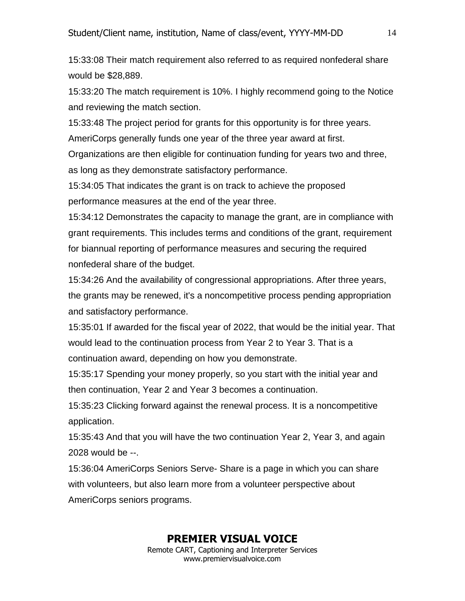15:33:08 Their match requirement also referred to as required nonfederal share would be \$28,889.

15:33:20 The match requirement is 10%. I highly recommend going to the Notice and reviewing the match section.

15:33:48 The project period for grants for this opportunity is for three years. AmeriCorps generally funds one year of the three year award at first.

Organizations are then eligible for continuation funding for years two and three, as long as they demonstrate satisfactory performance.

15:34:05 That indicates the grant is on track to achieve the proposed performance measures at the end of the year three.

15:34:12 Demonstrates the capacity to manage the grant, are in compliance with grant requirements. This includes terms and conditions of the grant, requirement for biannual reporting of performance measures and securing the required nonfederal share of the budget.

15:34:26 And the availability of congressional appropriations. After three years, the grants may be renewed, it's a noncompetitive process pending appropriation and satisfactory performance.

15:35:01 If awarded for the fiscal year of 2022, that would be the initial year. That would lead to the continuation process from Year 2 to Year 3. That is a continuation award, depending on how you demonstrate.

15:35:17 Spending your money properly, so you start with the initial year and then continuation, Year 2 and Year 3 becomes a continuation.

15:35:23 Clicking forward against the renewal process. It is a noncompetitive application.

15:35:43 And that you will have the two continuation Year 2, Year 3, and again 2028 would be --.

15:36:04 AmeriCorps Seniors Serve- Share is a page in which you can share with volunteers, but also learn more from a volunteer perspective about AmeriCorps seniors programs.

### **PREMIER VISUAL VOICE**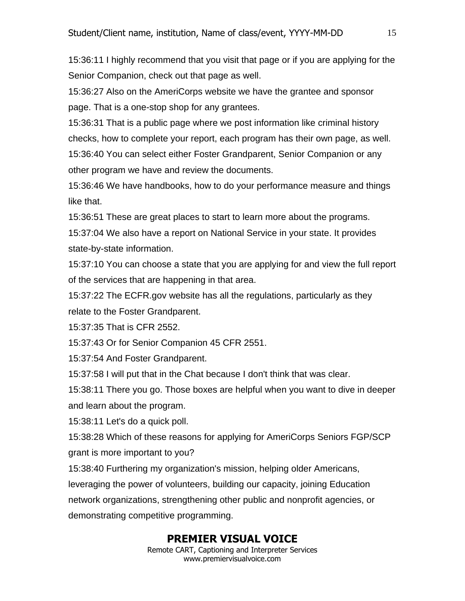15:36:11 I highly recommend that you visit that page or if you are applying for the Senior Companion, check out that page as well.

15:36:27 Also on the AmeriCorps website we have the grantee and sponsor page. That is a one-stop shop for any grantees.

15:36:31 That is a public page where we post information like criminal history checks, how to complete your report, each program has their own page, as well. 15:36:40 You can select either Foster Grandparent, Senior Companion or any other program we have and review the documents.

15:36:46 We have handbooks, how to do your performance measure and things like that.

15:36:51 These are great places to start to learn more about the programs.

15:37:04 We also have a report on National Service in your state. It provides state-by-state information.

15:37:10 You can choose a state that you are applying for and view the full report of the services that are happening in that area.

15:37:22 The ECFR.gov website has all the regulations, particularly as they relate to the Foster Grandparent.

15:37:35 That is CFR 2552.

15:37:43 Or for Senior Companion 45 CFR 2551.

15:37:54 And Foster Grandparent.

15:37:58 I will put that in the Chat because I don't think that was clear.

15:38:11 There you go. Those boxes are helpful when you want to dive in deeper and learn about the program.

15:38:11 Let's do a quick poll.

15:38:28 Which of these reasons for applying for AmeriCorps Seniors FGP/SCP grant is more important to you?

15:38:40 Furthering my organization's mission, helping older Americans,

leveraging the power of volunteers, building our capacity, joining Education

network organizations, strengthening other public and nonprofit agencies, or demonstrating competitive programming.

# **PREMIER VISUAL VOICE**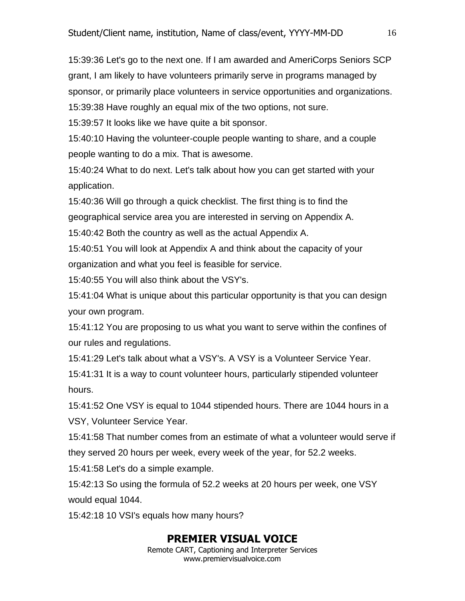15:39:36 Let's go to the next one. If I am awarded and AmeriCorps Seniors SCP grant, I am likely to have volunteers primarily serve in programs managed by sponsor, or primarily place volunteers in service opportunities and organizations. 15:39:38 Have roughly an equal mix of the two options, not sure.

15:39:57 It looks like we have quite a bit sponsor.

15:40:10 Having the volunteer-couple people wanting to share, and a couple people wanting to do a mix. That is awesome.

15:40:24 What to do next. Let's talk about how you can get started with your application.

15:40:36 Will go through a quick checklist. The first thing is to find the geographical service area you are interested in serving on Appendix A.

15:40:42 Both the country as well as the actual Appendix A.

15:40:51 You will look at Appendix A and think about the capacity of your

organization and what you feel is feasible for service.

15:40:55 You will also think about the VSY's.

15:41:04 What is unique about this particular opportunity is that you can design your own program.

15:41:12 You are proposing to us what you want to serve within the confines of our rules and regulations.

15:41:29 Let's talk about what a VSY's. A VSY is a Volunteer Service Year.

15:41:31 It is a way to count volunteer hours, particularly stipended volunteer hours.

15:41:52 One VSY is equal to 1044 stipended hours. There are 1044 hours in a VSY, Volunteer Service Year.

15:41:58 That number comes from an estimate of what a volunteer would serve if they served 20 hours per week, every week of the year, for 52.2 weeks.

15:41:58 Let's do a simple example.

15:42:13 So using the formula of 52.2 weeks at 20 hours per week, one VSY would equal 1044.

15:42:18 10 VSI's equals how many hours?

# **PREMIER VISUAL VOICE**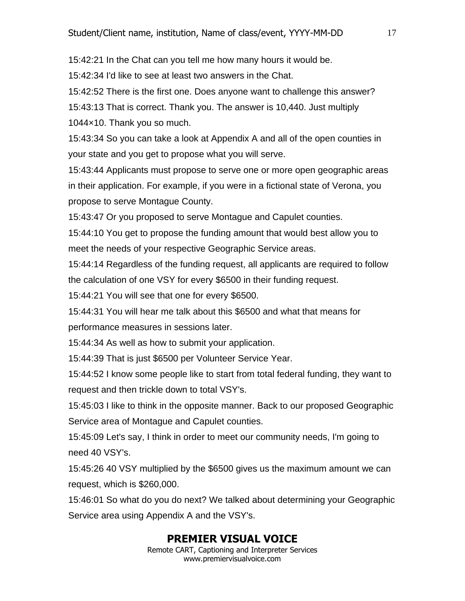15:42:21 In the Chat can you tell me how many hours it would be.

15:42:34 I'd like to see at least two answers in the Chat.

15:42:52 There is the first one. Does anyone want to challenge this answer?

15:43:13 That is correct. Thank you. The answer is 10,440. Just multiply 1044×10. Thank you so much.

15:43:34 So you can take a look at Appendix A and all of the open counties in your state and you get to propose what you will serve.

15:43:44 Applicants must propose to serve one or more open geographic areas in their application. For example, if you were in a fictional state of Verona, you propose to serve Montague County.

15:43:47 Or you proposed to serve Montague and Capulet counties.

15:44:10 You get to propose the funding amount that would best allow you to meet the needs of your respective Geographic Service areas.

15:44:14 Regardless of the funding request, all applicants are required to follow the calculation of one VSY for every \$6500 in their funding request.

15:44:21 You will see that one for every \$6500.

15:44:31 You will hear me talk about this \$6500 and what that means for performance measures in sessions later.

15:44:34 As well as how to submit your application.

15:44:39 That is just \$6500 per Volunteer Service Year.

15:44:52 I know some people like to start from total federal funding, they want to request and then trickle down to total VSY's.

15:45:03 I like to think in the opposite manner. Back to our proposed Geographic Service area of Montague and Capulet counties.

15:45:09 Let's say, I think in order to meet our community needs, I'm going to need 40 VSY's.

15:45:26 40 VSY multiplied by the \$6500 gives us the maximum amount we can request, which is \$260,000.

15:46:01 So what do you do next? We talked about determining your Geographic Service area using Appendix A and the VSY's.

# **PREMIER VISUAL VOICE**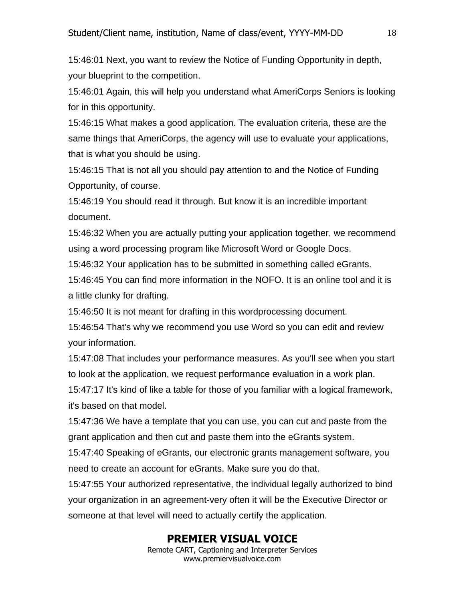15:46:01 Next, you want to review the Notice of Funding Opportunity in depth, your blueprint to the competition.

15:46:01 Again, this will help you understand what AmeriCorps Seniors is looking for in this opportunity.

15:46:15 What makes a good application. The evaluation criteria, these are the same things that AmeriCorps, the agency will use to evaluate your applications, that is what you should be using.

15:46:15 That is not all you should pay attention to and the Notice of Funding Opportunity, of course.

15:46:19 You should read it through. But know it is an incredible important document.

15:46:32 When you are actually putting your application together, we recommend using a word processing program like Microsoft Word or Google Docs.

15:46:32 Your application has to be submitted in something called eGrants.

15:46:45 You can find more information in the NOFO. It is an online tool and it is a little clunky for drafting.

15:46:50 It is not meant for drafting in this wordprocessing document.

15:46:54 That's why we recommend you use Word so you can edit and review your information.

15:47:08 That includes your performance measures. As you'll see when you start to look at the application, we request performance evaluation in a work plan.

15:47:17 It's kind of like a table for those of you familiar with a logical framework, it's based on that model.

15:47:36 We have a template that you can use, you can cut and paste from the grant application and then cut and paste them into the eGrants system.

15:47:40 Speaking of eGrants, our electronic grants management software, you need to create an account for eGrants. Make sure you do that.

15:47:55 Your authorized representative, the individual legally authorized to bind your organization in an agreement-very often it will be the Executive Director or someone at that level will need to actually certify the application.

#### **PREMIER VISUAL VOICE**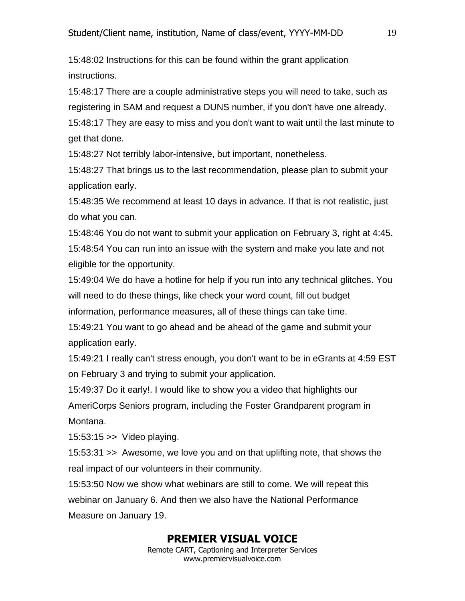15:48:02 Instructions for this can be found within the grant application instructions.

15:48:17 There are a couple administrative steps you will need to take, such as registering in SAM and request a DUNS number, if you don't have one already. 15:48:17 They are easy to miss and you don't want to wait until the last minute to get that done.

15:48:27 Not terribly labor-intensive, but important, nonetheless.

15:48:27 That brings us to the last recommendation, please plan to submit your application early.

15:48:35 We recommend at least 10 days in advance. If that is not realistic, just do what you can.

15:48:46 You do not want to submit your application on February 3, right at 4:45. 15:48:54 You can run into an issue with the system and make you late and not eligible for the opportunity.

15:49:04 We do have a hotline for help if you run into any technical glitches. You will need to do these things, like check your word count, fill out budget information, performance measures, all of these things can take time.

15:49:21 You want to go ahead and be ahead of the game and submit your application early.

15:49:21 I really can't stress enough, you don't want to be in eGrants at 4:59 EST on February 3 and trying to submit your application.

15:49:37 Do it early!. I would like to show you a video that highlights our AmeriCorps Seniors program, including the Foster Grandparent program in Montana.

15:53:15 >> Video playing.

15:53:31 >> Awesome, we love you and on that uplifting note, that shows the real impact of our volunteers in their community.

15:53:50 Now we show what webinars are still to come. We will repeat this webinar on January 6. And then we also have the National Performance Measure on January 19.

#### **PREMIER VISUAL VOICE**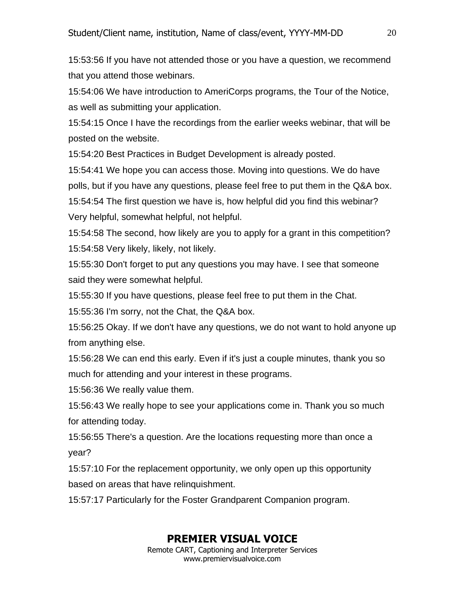15:53:56 If you have not attended those or you have a question, we recommend that you attend those webinars.

15:54:06 We have introduction to AmeriCorps programs, the Tour of the Notice, as well as submitting your application.

15:54:15 Once I have the recordings from the earlier weeks webinar, that will be posted on the website.

15:54:20 Best Practices in Budget Development is already posted.

15:54:41 We hope you can access those. Moving into questions. We do have polls, but if you have any questions, please feel free to put them in the Q&A box. 15:54:54 The first question we have is, how helpful did you find this webinar? Very helpful, somewhat helpful, not helpful.

15:54:58 The second, how likely are you to apply for a grant in this competition? 15:54:58 Very likely, likely, not likely.

15:55:30 Don't forget to put any questions you may have. I see that someone said they were somewhat helpful.

15:55:30 If you have questions, please feel free to put them in the Chat.

15:55:36 I'm sorry, not the Chat, the Q&A box.

15:56:25 Okay. If we don't have any questions, we do not want to hold anyone up from anything else.

15:56:28 We can end this early. Even if it's just a couple minutes, thank you so much for attending and your interest in these programs.

15:56:36 We really value them.

15:56:43 We really hope to see your applications come in. Thank you so much for attending today.

15:56:55 There's a question. Are the locations requesting more than once a year?

15:57:10 For the replacement opportunity, we only open up this opportunity based on areas that have relinquishment.

15:57:17 Particularly for the Foster Grandparent Companion program.

# **PREMIER VISUAL VOICE**